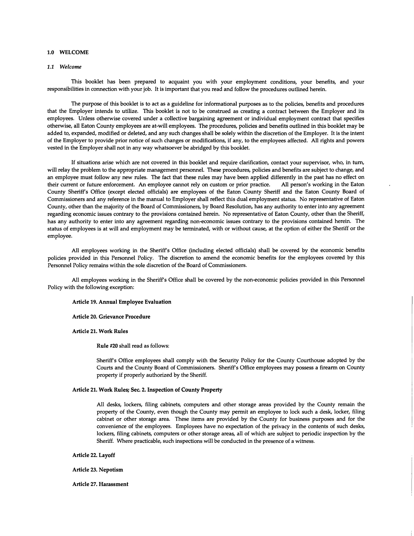# 1.0 WELCOME

## *1.1 Welcome*

This booklet has been prepared to acquaint you with your employment conditions, your benefits, and your responsibilities in connection with your job. It is important that you read and follow the procedures outlined herein.

The purpose of this booklet is to act as a guideline for informational purposes as to the policies, benefits and procedures that the Employer intends to utilize. This booklet is not to be construed as creating a contract between the Employer and its employees. Unless otherwise covered under a collective bargaining agreement or individual employment contract that specifies otherwise, all Eaton County employees are at-will employees. The procedures, policies and benefits outlined in this booklet may be added to, expanded, modified or deleted, and any such changes shall be solely within the discretion of the Employer. It is the intent of the Employer to provide prior notice of such changes or modifications, if any, to the employees affected. All rights and powers vested in the Employer shall not in any way whatsoever be abridged by this booklet.

If situations arise which are not covered in this booklet and require clarification, contact your supervisor, who, in tum, will relay the problem to the appropriate management personnel. These procedures, policies and benefits are subject to change, and an employee must follow any new rules. The fact that these rules may have been applied differently in the past has no effect on their current or future enforcement. An employee cannot rely on custom or prior practice. All person's working in the Eaton County Sheriff's Office (except elected officials) are employees of the Eaton County Sheriff and the Eaton County Board of Commissioners and any reference in the manual to Employer shall reflect this dual employment status. No representative of Eaton County, other than the majority of the Board of Commissioners, by Board Resolution, has any authority to enter into any agreement regarding economic issues contrary to the provisions contained herein. No representative of Eaton County, other than the Sheriff, has any authority to enter into any agreement regarding non-economic issues contrary to the provisions contained herein. The status of employees is at will and employment may be terminated, with or without cause, at the option of either the Sheriff or the employee.

All employees working in the Sheriff's Office (including elected officials) shall be covered by the economic benefits policies provided in this Personnel Policy. The discretion to amend the economic benefits for the employees covered by this Personnel Policy remains within the sole discretion of the Board of Commissioners.

All employees working in the Sheriff's Office shall be covered by the non-economic policies provided in this Personnel Policy with the following exception:

#### Article 19. Annual Employee Evaluation

### Article 20. Grievance Procedure

Article 21. Work Rules

Rule #20 shall read as follows:

Sheriff's Office employees shall comply with the Security Policy for the County Courthouse adopted by the Courts and the County Board of Commissioners. Sheriff's Office employees may possess a firearm on County property if properly authorized by the Sheriff.

#### Article 21. Work Rules; Sec. 2. Inspection of County Property

All desks, lockers, filing cabinets; computers and other storage areas provided by the County remain the property of the County, even though the County may permit an employee to lock such a desk, locker, filing cabinet or other storage area. These items are provided by the County for business purposes and for the convenience of the employees. Employees have no expectation of the privacy in the contents of such desks, lockers, filing cabinets, computers or other storage areas, all of which are subject to periodic inspection by the Sheriff. Where practicable, such inspections will be conducted in the presence of a witness.

#### Article 22. Layoff

Article 23. Nepotism

### Article 27. Harassment